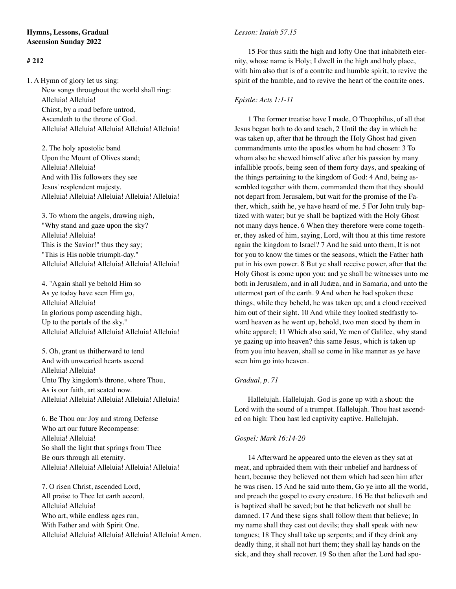# **# 212**

1. A Hymn of glory let us sing: New songs throughout the world shall ring: Alleluia! Alleluia! Chirst, by a road before untrod, Ascendeth to the throne of God. Alleluia! Alleluia! Alleluia! Alleluia! Alleluia!

 2. The holy apostolic band Upon the Mount of Olives stand; Alleluia! Alleluia! And with His followers they see Jesus' resplendent majesty. Alleluia! Alleluia! Alleluia! Alleluia! Alleluia!

 3. To whom the angels, drawing nigh, "Why stand and gaze upon the sky? Alleluia! Alleluia! This is the Savior!" thus they say; "This is His noble triumph-day." Alleluia! Alleluia! Alleluia! Alleluia! Alleluia!

 4. "Again shall ye behold Him so As ye today have seen Him go, Alleluia! Alleluia! In glorious pomp ascending high, Up to the portals of the sky." Alleluia! Alleluia! Alleluia! Alleluia! Alleluia!

 5. Oh, grant us thitherward to tend And with unwearied hearts ascend Alleluia! Alleluia! Unto Thy kingdom's throne, where Thou, As is our faith, art seated now. Alleluia! Alleluia! Alleluia! Alleluia! Alleluia!

 6. Be Thou our Joy and strong Defense Who art our future Recompense: Alleluia! Alleluia! So shall the light that springs from Thee Be ours through all eternity. Alleluia! Alleluia! Alleluia! Alleluia! Alleluia!

 7. O risen Christ, ascended Lord, All praise to Thee let earth accord, Alleluia! Alleluia! Who art, while endless ages run, With Father and with Spirit One. Alleluia! Alleluia! Alleluia! Alleluia! Alleluia! Amen.

## *Lesson: Isaiah 57.15*

15 For thus saith the high and lofty One that inhabiteth eternity, whose name is Holy; I dwell in the high and holy place, with him also that is of a contrite and humble spirit, to revive the spirit of the humble, and to revive the heart of the contrite ones.

## *Epistle: Acts 1:1-11*

1 The former treatise have I made, O Theophilus, of all that Jesus began both to do and teach, 2 Until the day in which he was taken up, after that he through the Holy Ghost had given commandments unto the apostles whom he had chosen: 3 To whom also he shewed himself alive after his passion by many infallible proofs, being seen of them forty days, and speaking of the things pertaining to the kingdom of God: 4 And, being assembled together with them, commanded them that they should not depart from Jerusalem, but wait for the promise of the Father, which, saith he, ye have heard of me. 5 For John truly baptized with water; but ye shall be baptized with the Holy Ghost not many days hence. 6 When they therefore were come together, they asked of him, saying, Lord, wilt thou at this time restore again the kingdom to Israel? 7 And he said unto them, It is not for you to know the times or the seasons, which the Father hath put in his own power. 8 But ye shall receive power, after that the Holy Ghost is come upon you: and ye shall be witnesses unto me both in Jerusalem, and in all Judæa, and in Samaria, and unto the uttermost part of the earth. 9 And when he had spoken these things, while they beheld, he was taken up; and a cloud received him out of their sight. 10 And while they looked stedfastly toward heaven as he went up, behold, two men stood by them in white apparel; 11 Which also said, Ye men of Galilee, why stand ye gazing up into heaven? this same Jesus, which is taken up from you into heaven, shall so come in like manner as ye have seen him go into heaven.

## *Gradual, p. 71*

Hallelujah. Hallelujah. God is gone up with a shout: the Lord with the sound of a trumpet. Hallelujah. Thou hast ascended on high: Thou hast led captivity captive. Hallelujah.

## *Gospel: Mark 16:14-20*

14 Afterward he appeared unto the eleven as they sat at meat, and upbraided them with their unbelief and hardness of heart, because they believed not them which had seen him after he was risen. 15 And he said unto them, Go ye into all the world, and preach the gospel to every creature. 16 He that believeth and is baptized shall be saved; but he that believeth not shall be damned. 17 And these signs shall follow them that believe; In my name shall they cast out devils; they shall speak with new tongues; 18 They shall take up serpents; and if they drink any deadly thing, it shall not hurt them; they shall lay hands on the sick, and they shall recover. 19 So then after the Lord had spo